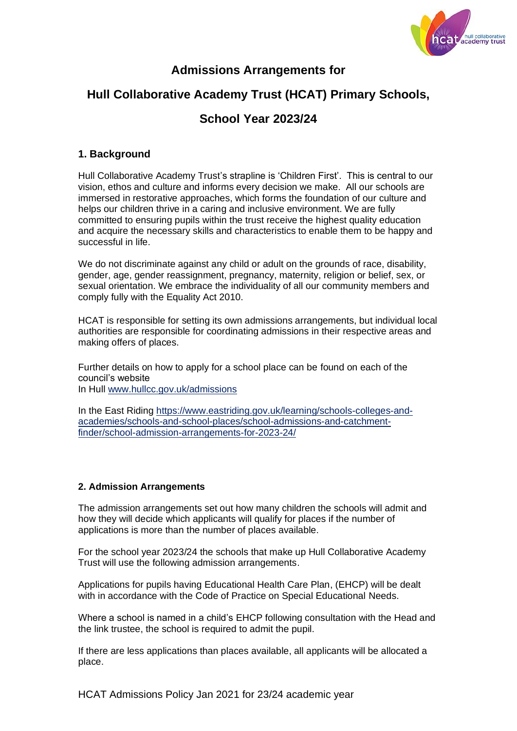

# **Admissions Arrangements for**

# **Hull Collaborative Academy Trust (HCAT) Primary Schools,**

# **School Year 2023/24**

# **1. Background**

Hull Collaborative Academy Trust's strapline is 'Children First'. This is central to our vision, ethos and culture and informs every decision we make. All our schools are immersed in restorative approaches, which forms the foundation of our culture and helps our children thrive in a caring and inclusive environment. We are fully committed to ensuring pupils within the trust receive the highest quality education and acquire the necessary skills and characteristics to enable them to be happy and successful in life.

We do not discriminate against any child or adult on the grounds of race, disability, gender, age, gender reassignment, pregnancy, maternity, religion or belief, sex, or sexual orientation. We embrace the individuality of all our community members and comply fully with the Equality Act 2010.

HCAT is responsible for setting its own admissions arrangements, but individual local authorities are responsible for coordinating admissions in their respective areas and making offers of places.

Further details on how to apply for a school place can be found on each of the council's website In Hull [www.hullcc.gov.uk/admissions](http://www.hullcc.gov.uk/admissions)

In the East Riding [https://www.eastriding.gov.uk/learning/schools-colleges-and](https://www.eastriding.gov.uk/learning/schools-colleges-and-academies/schools-and-school-places/school-admissions-and-catchment-finder/school-admission-arrangements-for-2023-24/)[academies/schools-and-school-places/school-admissions-and-catchment](https://www.eastriding.gov.uk/learning/schools-colleges-and-academies/schools-and-school-places/school-admissions-and-catchment-finder/school-admission-arrangements-for-2023-24/)[finder/school-admission-arrangements-for-2023-24/](https://www.eastriding.gov.uk/learning/schools-colleges-and-academies/schools-and-school-places/school-admissions-and-catchment-finder/school-admission-arrangements-for-2023-24/)

# **2. Admission Arrangements**

The admission arrangements set out how many children the schools will admit and how they will decide which applicants will qualify for places if the number of applications is more than the number of places available.

For the school year 2023/24 the schools that make up Hull Collaborative Academy Trust will use the following admission arrangements.

Applications for pupils having Educational Health Care Plan, (EHCP) will be dealt with in accordance with the Code of Practice on Special Educational Needs.

Where a school is named in a child's EHCP following consultation with the Head and the link trustee, the school is required to admit the pupil.

If there are less applications than places available, all applicants will be allocated a place.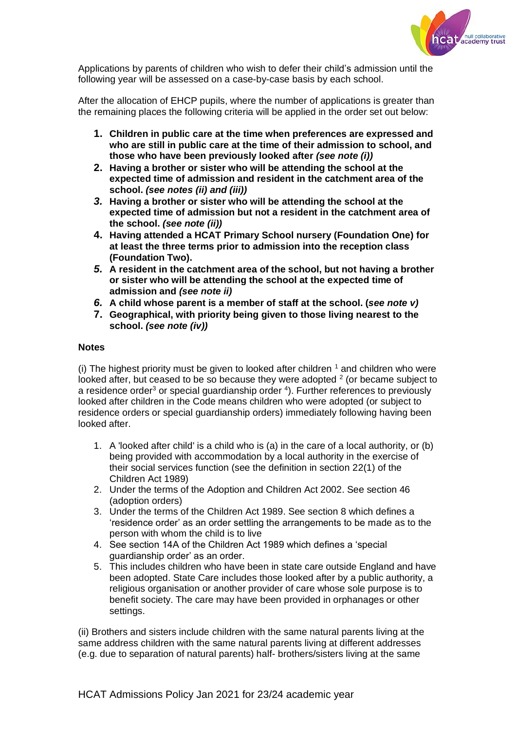

Applications by parents of children who wish to defer their child's admission until the following year will be assessed on a case-by-case basis by each school.

After the allocation of EHCP pupils, where the number of applications is greater than the remaining places the following criteria will be applied in the order set out below:

- **1. Children in public care at the time when preferences are expressed and who are still in public care at the time of their admission to school, and those who have been previously looked after** *(see note (i))*
- **2. Having a brother or sister who will be attending the school at the expected time of admission and resident in the catchment area of the school.** *(see notes (ii) and (iii))*
- *3.* **Having a brother or sister who will be attending the school at the expected time of admission but not a resident in the catchment area of the school.** *(see note (ii))*
- **4. Having attended a HCAT Primary School nursery (Foundation One) for at least the three terms prior to admission into the reception class (Foundation Two).**
- *5.* **A resident in the catchment area of the school, but not having a brother or sister who will be attending the school at the expected time of admission and** *(see note ii)*
- *6.* **A child whose parent is a member of staff at the school. (***see note v)*
- **7. Geographical, with priority being given to those living nearest to the school.** *(see note (iv))*

## **Notes**

(i) The highest priority must be given to looked after children  $<sup>1</sup>$  and children who were</sup> looked after, but ceased to be so because they were adopted  $2$  (or became subject to a residence order<sup>3</sup> or special guardianship order  $4$ ). Further references to previously looked after children in the Code means children who were adopted (or subject to residence orders or special guardianship orders) immediately following having been looked after.

- 1. A 'looked after child' is a child who is (a) in the care of a local authority, or (b) being provided with accommodation by a local authority in the exercise of their social services function (see the definition in section 22(1) of the Children Act 1989)
- 2. Under the terms of the Adoption and Children Act 2002. See section 46 (adoption orders)
- 3. Under the terms of the Children Act 1989. See section 8 which defines a 'residence order' as an order settling the arrangements to be made as to the person with whom the child is to live
- 4. See section 14A of the Children Act 1989 which defines a 'special guardianship order' as an order.
- 5. This includes children who have been in state care outside England and have been adopted. State Care includes those looked after by a public authority, a religious organisation or another provider of care whose sole purpose is to benefit society. The care may have been provided in orphanages or other settings.

(ii) Brothers and sisters include children with the same natural parents living at the same address children with the same natural parents living at different addresses (e.g. due to separation of natural parents) half- brothers/sisters living at the same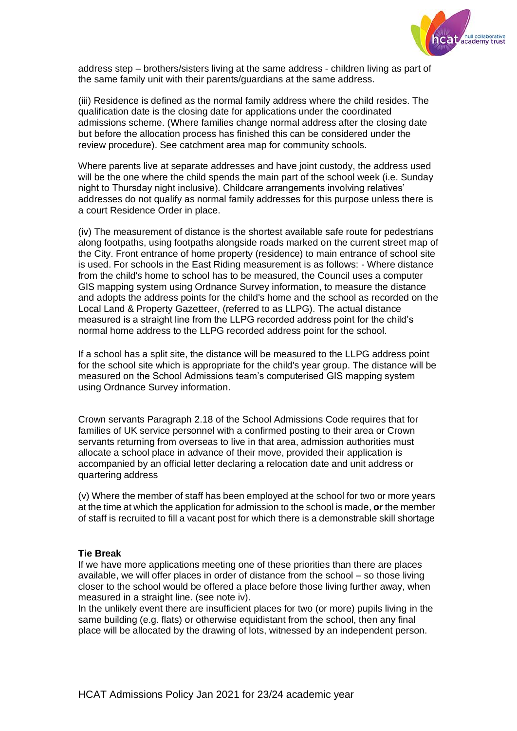

address step – brothers/sisters living at the same address - children living as part of the same family unit with their parents/guardians at the same address.

(iii) Residence is defined as the normal family address where the child resides. The qualification date is the closing date for applications under the coordinated admissions scheme. (Where families change normal address after the closing date but before the allocation process has finished this can be considered under the review procedure). See catchment area map for community schools.

Where parents live at separate addresses and have joint custody, the address used will be the one where the child spends the main part of the school week (i.e. Sunday night to Thursday night inclusive). Childcare arrangements involving relatives' addresses do not qualify as normal family addresses for this purpose unless there is a court Residence Order in place.

(iv) The measurement of distance is the shortest available safe route for pedestrians along footpaths, using footpaths alongside roads marked on the current street map of the City. Front entrance of home property (residence) to main entrance of school site is used. For schools in the East Riding measurement is as follows: - Where distance from the child's home to school has to be measured, the Council uses a computer GIS mapping system using Ordnance Survey information, to measure the distance and adopts the address points for the child's home and the school as recorded on the Local Land & Property Gazetteer, (referred to as LLPG). The actual distance measured is a straight line from the LLPG recorded address point for the child's normal home address to the LLPG recorded address point for the school.

If a school has a split site, the distance will be measured to the LLPG address point for the school site which is appropriate for the child's year group. The distance will be measured on the School Admissions team's computerised GIS mapping system using Ordnance Survey information.

Crown servants Paragraph 2.18 of the School Admissions Code requires that for families of UK service personnel with a confirmed posting to their area or Crown servants returning from overseas to live in that area, admission authorities must allocate a school place in advance of their move, provided their application is accompanied by an official letter declaring a relocation date and unit address or quartering address

(v) Where the member of staff has been employed at the school for two or more years at the time at which the application for admission to the school is made, **or** the member of staff is recruited to fill a vacant post for which there is a demonstrable skill shortage

#### **Tie Break**

If we have more applications meeting one of these priorities than there are places available, we will offer places in order of distance from the school – so those living closer to the school would be offered a place before those living further away, when measured in a straight line. (see note iv).

In the unlikely event there are insufficient places for two (or more) pupils living in the same building (e.g. flats) or otherwise equidistant from the school, then any final place will be allocated by the drawing of lots, witnessed by an independent person.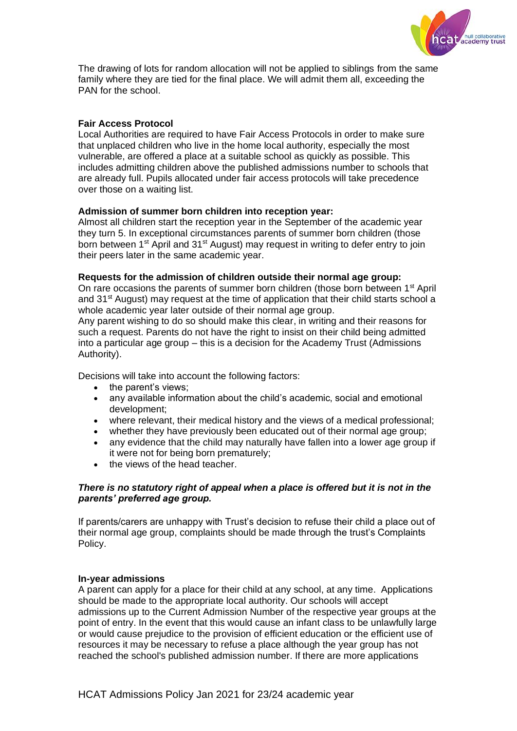

The drawing of lots for random allocation will not be applied to siblings from the same family where they are tied for the final place. We will admit them all, exceeding the PAN for the school.

# **Fair Access Protocol**

Local Authorities are required to have Fair Access Protocols in order to make sure that unplaced children who live in the home local authority, especially the most vulnerable, are offered a place at a suitable school as quickly as possible. This includes admitting children above the published admissions number to schools that are already full. Pupils allocated under fair access protocols will take precedence over those on a waiting list.

## **Admission of summer born children into reception year:**

Almost all children start the reception year in the September of the academic year they turn 5. In exceptional circumstances parents of summer born children (those born between 1<sup>st</sup> April and 31<sup>st</sup> August) may request in writing to defer entry to join their peers later in the same academic year.

#### **Requests for the admission of children outside their normal age group:**

On rare occasions the parents of summer born children (those born between 1<sup>st</sup> April and  $31<sup>st</sup>$  August) may request at the time of application that their child starts school a whole academic year later outside of their normal age group.

Any parent wishing to do so should make this clear, in writing and their reasons for such a request. Parents do not have the right to insist on their child being admitted into a particular age group – this is a decision for the Academy Trust (Admissions Authority).

Decisions will take into account the following factors:

- the parent's views;
- any available information about the child's academic, social and emotional development;
- where relevant, their medical history and the views of a medical professional;
- whether they have previously been educated out of their normal age group;
- any evidence that the child may naturally have fallen into a lower age group if it were not for being born prematurely;
- the views of the head teacher.

#### *There is no statutory right of appeal when a place is offered but it is not in the parents' preferred age group.*

If parents/carers are unhappy with Trust's decision to refuse their child a place out of their normal age group, complaints should be made through the trust's Complaints Policy.

#### **In-year admissions**

A parent can apply for a place for their child at any school, at any time. Applications should be made to the appropriate local authority. Our schools will accept admissions up to the Current Admission Number of the respective year groups at the point of entry. In the event that this would cause an infant class to be unlawfully large or would cause prejudice to the provision of efficient education or the efficient use of resources it may be necessary to refuse a place although the year group has not reached the school's published admission number. If there are more applications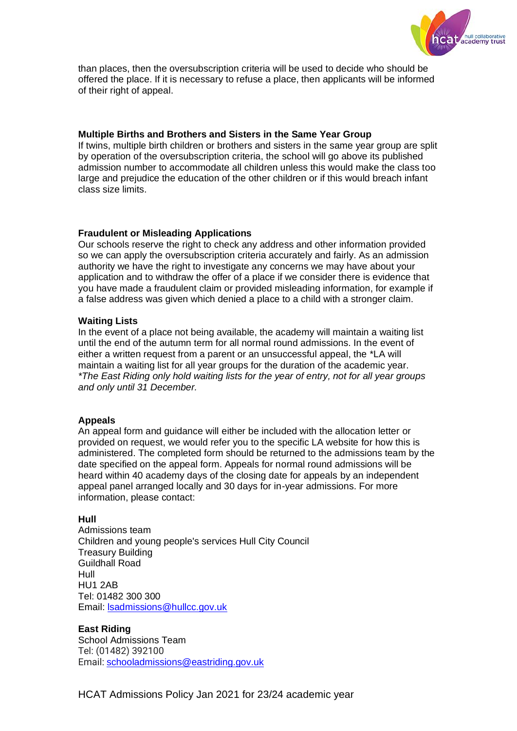

than places, then the oversubscription criteria will be used to decide who should be offered the place. If it is necessary to refuse a place, then applicants will be informed of their right of appeal.

### **Multiple Births and Brothers and Sisters in the Same Year Group**

If twins, multiple birth children or brothers and sisters in the same year group are split by operation of the oversubscription criteria, the school will go above its published admission number to accommodate all children unless this would make the class too large and prejudice the education of the other children or if this would breach infant class size limits.

#### **Fraudulent or Misleading Applications**

Our schools reserve the right to check any address and other information provided so we can apply the oversubscription criteria accurately and fairly. As an admission authority we have the right to investigate any concerns we may have about your application and to withdraw the offer of a place if we consider there is evidence that you have made a fraudulent claim or provided misleading information, for example if a false address was given which denied a place to a child with a stronger claim.

#### **Waiting Lists**

In the event of a place not being available, the academy will maintain a waiting list until the end of the autumn term for all normal round admissions. In the event of either a written request from a parent or an unsuccessful appeal, the \*LA will maintain a waiting list for all year groups for the duration of the academic year. *\*The East Riding only hold waiting lists for the year of entry, not for all year groups and only until 31 December.*

## **Appeals**

An appeal form and guidance will either be included with the allocation letter or provided on request, we would refer you to the specific LA website for how this is administered. The completed form should be returned to the admissions team by the date specified on the appeal form. Appeals for normal round admissions will be heard within 40 academy days of the closing date for appeals by an independent appeal panel arranged locally and 30 days for in-year admissions. For more information, please contact:

## **Hull**

Admissions team Children and young people's services Hull City Council Treasury Building Guildhall Road Hull HU1 2AB Tel: 01482 300 300 Email: [lsadmissions@hullcc.gov.uk](mailto:lsadmissions@hullcc.gov.uk) 

## **East Riding**

School Admissions Team Tel: (01482) 392100 Email: [schooladmissions@eastriding.gov.uk](mailto:schooladmissions@eastriding.gov.uk?subject=Query%20from%20www.eastriding.gov.uk)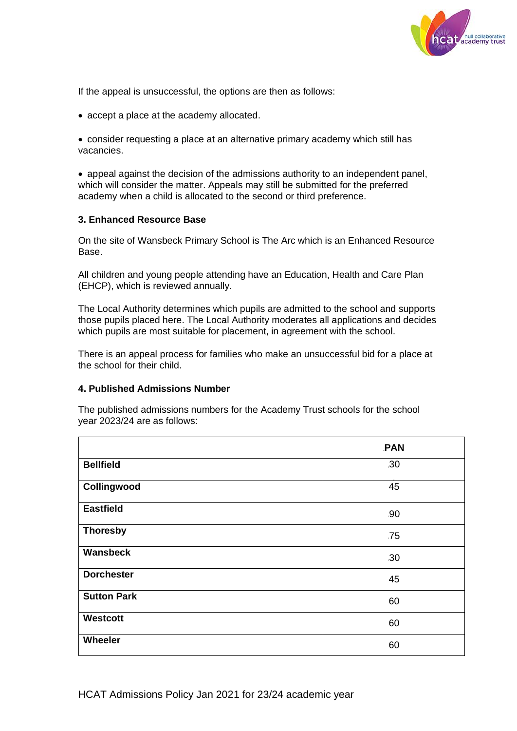

If the appeal is unsuccessful, the options are then as follows:

• accept a place at the academy allocated.

• consider requesting a place at an alternative primary academy which still has vacancies.

• appeal against the decision of the admissions authority to an independent panel, which will consider the matter. Appeals may still be submitted for the preferred academy when a child is allocated to the second or third preference.

#### **3. Enhanced Resource Base**

On the site of Wansbeck Primary School is The Arc which is an Enhanced Resource Base.

All children and young people attending have an Education, Health and Care Plan (EHCP), which is reviewed annually.

The Local Authority determines which pupils are admitted to the school and supports those pupils placed here. The Local Authority moderates all applications and decides which pupils are most suitable for placement, in agreement with the school.

There is an appeal process for families who make an unsuccessful bid for a place at the school for their child.

#### **4. Published Admissions Number**

The published admissions numbers for the Academy Trust schools for the school year 2023/24 are as follows:

|                    | <b>PAN</b> |
|--------------------|------------|
| <b>Bellfield</b>   | .30        |
| Collingwood        | 45         |
| <b>Eastfield</b>   | .90        |
| <b>Thoresby</b>    | .75        |
| Wansbeck           | 30         |
| <b>Dorchester</b>  | 45         |
| <b>Sutton Park</b> | 60         |
| Westcott           | 60         |
| Wheeler            | 60         |